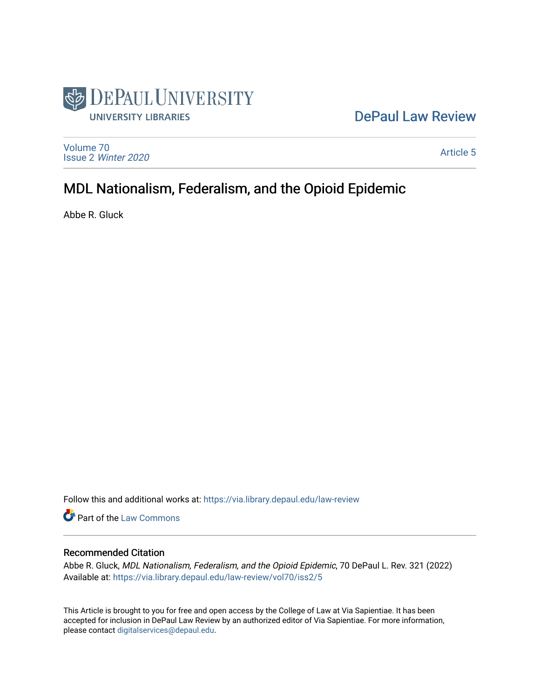

## [DePaul Law Review](https://via.library.depaul.edu/law-review)

[Volume 70](https://via.library.depaul.edu/law-review/vol70) Issue 2 [Winter 2020](https://via.library.depaul.edu/law-review/vol70/iss2) 

[Article 5](https://via.library.depaul.edu/law-review/vol70/iss2/5) 

# MDL Nationalism, Federalism, and the Opioid Epidemic

Abbe R. Gluck

Follow this and additional works at: [https://via.library.depaul.edu/law-review](https://via.library.depaul.edu/law-review?utm_source=via.library.depaul.edu%2Flaw-review%2Fvol70%2Fiss2%2F5&utm_medium=PDF&utm_campaign=PDFCoverPages) 

Part of the [Law Commons](http://network.bepress.com/hgg/discipline/578?utm_source=via.library.depaul.edu%2Flaw-review%2Fvol70%2Fiss2%2F5&utm_medium=PDF&utm_campaign=PDFCoverPages)

## Recommended Citation

Abbe R. Gluck, MDL Nationalism, Federalism, and the Opioid Epidemic, 70 DePaul L. Rev. 321 (2022) Available at: [https://via.library.depaul.edu/law-review/vol70/iss2/5](https://via.library.depaul.edu/law-review/vol70/iss2/5?utm_source=via.library.depaul.edu%2Flaw-review%2Fvol70%2Fiss2%2F5&utm_medium=PDF&utm_campaign=PDFCoverPages) 

This Article is brought to you for free and open access by the College of Law at Via Sapientiae. It has been accepted for inclusion in DePaul Law Review by an authorized editor of Via Sapientiae. For more information, please contact [digitalservices@depaul.edu.](mailto:digitalservices@depaul.edu)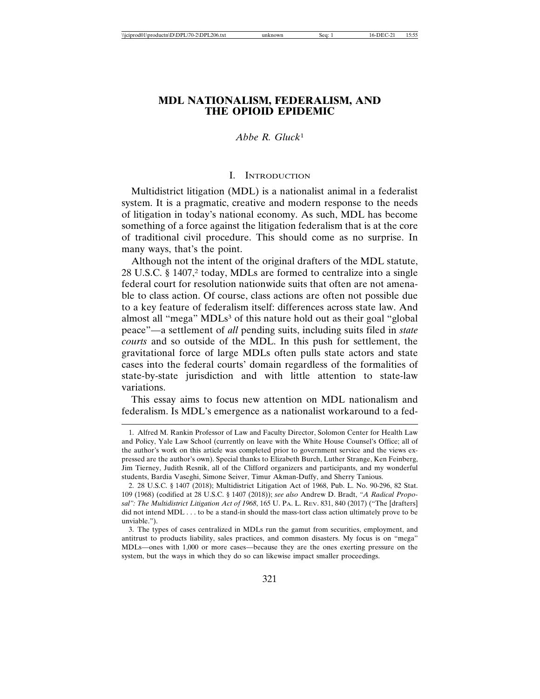## **MDL NATIONALISM, FEDERALISM, AND THE OPIOID EPIDEMIC**

## *Abbe R. Gluck*<sup>1</sup>

#### I. INTRODUCTION

Multidistrict litigation (MDL) is a nationalist animal in a federalist system. It is a pragmatic, creative and modern response to the needs of litigation in today's national economy. As such, MDL has become something of a force against the litigation federalism that is at the core of traditional civil procedure. This should come as no surprise. In many ways, that's the point.

Although not the intent of the original drafters of the MDL statute, 28 U.S.C. § 1407,2 today, MDLs are formed to centralize into a single federal court for resolution nationwide suits that often are not amenable to class action. Of course, class actions are often not possible due to a key feature of federalism itself: differences across state law. And almost all "mega" MDLs<sup>3</sup> of this nature hold out as their goal "global" peace"—a settlement of *all* pending suits, including suits filed in *state courts* and so outside of the MDL. In this push for settlement, the gravitational force of large MDLs often pulls state actors and state cases into the federal courts' domain regardless of the formalities of state-by-state jurisdiction and with little attention to state-law variations.

This essay aims to focus new attention on MDL nationalism and federalism. Is MDL's emergence as a nationalist workaround to a fed-

<sup>1.</sup> Alfred M. Rankin Professor of Law and Faculty Director, Solomon Center for Health Law and Policy, Yale Law School (currently on leave with the White House Counsel's Office; all of the author's work on this article was completed prior to government service and the views expressed are the author's own). Special thanks to Elizabeth Burch, Luther Strange, Ken Feinberg, Jim Tierney, Judith Resnik, all of the Clifford organizers and participants, and my wonderful students, Bardia Vaseghi, Simone Seiver, Timur Akman-Duffy, and Sherry Tanious.

<sup>2. 28</sup> U.S.C. § 1407 (2018); Multidistrict Litigation Act of 1968, Pub. L. No. 90-296, 82 Stat. 109 (1968) (codified at 28 U.S.C. § 1407 (2018)); *see also* Andrew D. Bradt, *"A Radical Proposal": The Multidistrict Litigation Act of 1968*, 165 U. PA. L. REV. 831, 840 (2017) ("The [drafters] did not intend MDL . . . to be a stand-in should the mass-tort class action ultimately prove to be unviable.").

<sup>3.</sup> The types of cases centralized in MDLs run the gamut from securities, employment, and antitrust to products liability, sales practices, and common disasters. My focus is on "mega" MDLs—ones with 1,000 or more cases—because they are the ones exerting pressure on the system, but the ways in which they do so can likewise impact smaller proceedings.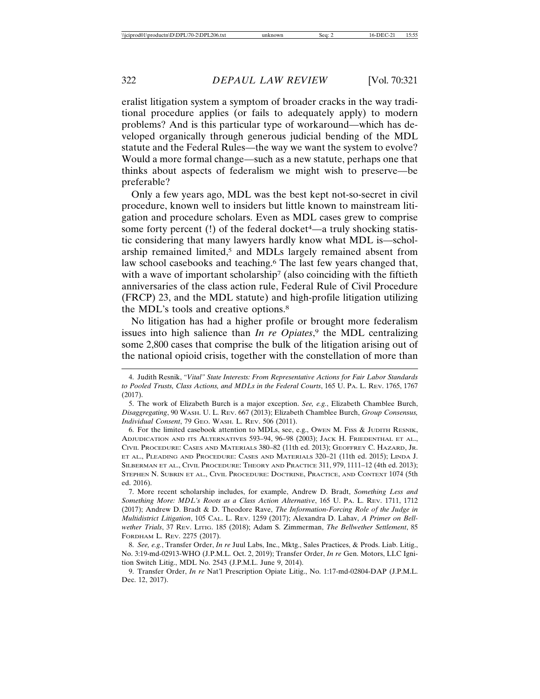eralist litigation system a symptom of broader cracks in the way traditional procedure applies (or fails to adequately apply) to modern problems? And is this particular type of workaround—which has developed organically through generous judicial bending of the MDL statute and the Federal Rules—the way we want the system to evolve? Would a more formal change—such as a new statute, perhaps one that thinks about aspects of federalism we might wish to preserve—be preferable?

Only a few years ago, MDL was the best kept not-so-secret in civil procedure, known well to insiders but little known to mainstream litigation and procedure scholars. Even as MDL cases grew to comprise some forty percent  $(!)$  of the federal docket<sup>4</sup>—a truly shocking statistic considering that many lawyers hardly know what MDL is—scholarship remained limited,<sup>5</sup> and MDLs largely remained absent from law school casebooks and teaching.<sup>6</sup> The last few years changed that, with a wave of important scholarship<sup>7</sup> (also coinciding with the fiftieth anniversaries of the class action rule, Federal Rule of Civil Procedure (FRCP) 23, and the MDL statute) and high-profile litigation utilizing the MDL's tools and creative options.8

No litigation has had a higher profile or brought more federalism issues into high salience than *In re Opiates*, 9 the MDL centralizing some 2,800 cases that comprise the bulk of the litigation arising out of the national opioid crisis, together with the constellation of more than

6. For the limited casebook attention to MDLs, see, e.g., OWEN M. FISS & JUDITH RESNIK, ADJUDICATION AND ITS ALTERNATIVES 593–94, 96–98 (2003); JACK H. FRIEDENTHAL ET AL., CIVIL PROCEDURE: CASES AND MATERIALS 380–82 (11th ed. 2013); GEOFFREY C. HAZARD, JR. ET AL., PLEADING AND PROCEDURE: CASES AND MATERIALS 320–21 (11th ed. 2015); LINDA J. SILBERMAN ET AL., CIVIL PROCEDURE: THEORY AND PRACTICE 311, 979, 1111–12 (4th ed. 2013); STEPHEN N. SUBRIN ET AL., CIVIL PROCEDURE: DOCTRINE, PRACTICE, AND CONTEXT 1074 (5th ed. 2016).

7. More recent scholarship includes, for example, Andrew D. Bradt, *Something Less and Something More: MDL's Roots as a Class Action Alternative*, 165 U. PA. L. REV. 1711, 1712 (2017); Andrew D. Bradt & D. Theodore Rave, *The Information-Forcing Role of the Judge in Multidistrict Litigation*, 105 CAL. L. REV. 1259 (2017); Alexandra D. Lahav, *A Primer on Bellwether Trials*, 37 REV. LITIG. 185 (2018); Adam S. Zimmerman, *The Bellwether Settlement*, 85 FORDHAM L. REV. 2275 (2017).

8. *See, e.g.*, Transfer Order, *In re* Juul Labs, Inc., Mktg., Sales Practices, & Prods. Liab. Litig., No. 3:19-md-02913-WHO (J.P.M.L. Oct. 2, 2019); Transfer Order, *In re* Gen. Motors, LLC Ignition Switch Litig., MDL No. 2543 (J.P.M.L. June 9, 2014).

9. Transfer Order, *In re* Nat'l Prescription Opiate Litig., No. 1:17-md-02804-DAP (J.P.M.L. Dec. 12, 2017).

<sup>4.</sup> Judith Resnik, *"Vital" State Interests: From Representative Actions for Fair Labor Standards to Pooled Trusts, Class Actions, and MDLs in the Federal Courts*, 165 U. PA. L. REV. 1765, 1767 (2017).

<sup>5.</sup> The work of Elizabeth Burch is a major exception. *See, e.g.*, Elizabeth Chamblee Burch, *Disaggregating*, 90 WASH. U. L. REV. 667 (2013); Elizabeth Chamblee Burch, *Group Consensus, Individual Consent*, 79 GEO. WASH. L. REV. 506 (2011).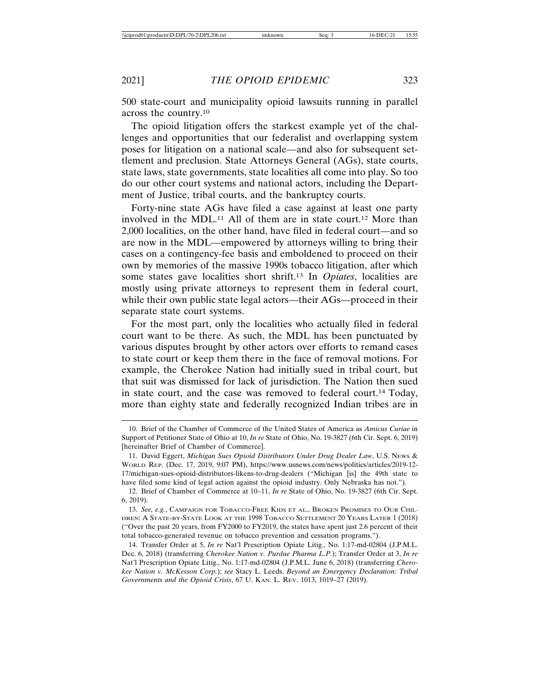500 state-court and municipality opioid lawsuits running in parallel across the country.10

The opioid litigation offers the starkest example yet of the challenges and opportunities that our federalist and overlapping system poses for litigation on a national scale—and also for subsequent settlement and preclusion. State Attorneys General (AGs), state courts, state laws, state governments, state localities all come into play. So too do our other court systems and national actors, including the Department of Justice, tribal courts, and the bankruptcy courts.

Forty-nine state AGs have filed a case against at least one party involved in the MDL.11 All of them are in state court.12 More than 2,000 localities, on the other hand, have filed in federal court—and so are now in the MDL—empowered by attorneys willing to bring their cases on a contingency-fee basis and emboldened to proceed on their own by memories of the massive 1990s tobacco litigation, after which some states gave localities short shrift.13 In *Opiates*, localities are mostly using private attorneys to represent them in federal court, while their own public state legal actors—their AGs—proceed in their separate state court systems.

For the most part, only the localities who actually filed in federal court want to be there. As such, the MDL has been punctuated by various disputes brought by other actors over efforts to remand cases to state court or keep them there in the face of removal motions. For example, the Cherokee Nation had initially sued in tribal court, but that suit was dismissed for lack of jurisdiction. The Nation then sued in state court, and the case was removed to federal court.14 Today, more than eighty state and federally recognized Indian tribes are in

<sup>10.</sup> Brief of the Chamber of Commerce of the United States of America as *Amicus Curiae* in Support of Petitioner State of Ohio at 10, *In re* State of Ohio, No. 19-3827 (6th Cir. Sept. 6, 2019) [hereinafter Brief of Chamber of Commerce].

<sup>11.</sup> David Eggert, *Michigan Sues Opioid Distributors Under Drug Dealer Law*, U.S. NEWS & WORLD REP. (Dec. 17, 2019, 9:07 PM), https://www.usnews.com/news/politics/articles/2019-12- 17/michigan-sues-opioid-distributors-likens-to-drug-dealers ("Michigan [is] the 49th state to have filed some kind of legal action against the opioid industry. Only Nebraska has not.").

<sup>12.</sup> Brief of Chamber of Commerce at 10–11, *In re* State of Ohio, No. 19-3827 (6th Cir. Sept. 6, 2019).

<sup>13.</sup> *See, e.g.*, CAMPAIGN FOR TOBACCO-FREE KIDS ET AL., BROKEN PROMISES TO OUR CHIL-DREN: A STATE-BY-STATE LOOK AT THE 1998 TOBACCO SETTLEMENT 20 YEARS LATER 1 (2018) ("Over the past 20 years, from FY2000 to FY2019, the states have spent just 2.6 percent of their total tobacco-generated revenue on tobacco prevention and cessation programs.").

<sup>14.</sup> Transfer Order at 5, *In re* Nat'l Prescription Opiate Litig., No. 1:17-md-02804 (J.P.M.L. Dec. 6, 2018) (transferring *Cherokee Nation v. Purdue Pharma L.P.*); Transfer Order at 3, *In re* Nat'l Prescription Opiate Litig., No. 1:17-md-02804 (J.P.M.L. June 6, 2018) (transferring *Cherokee Nation v. McKesson Corp.*); *see* Stacy L. Leeds, *Beyond an Emergency Declaration: Tribal Governments and the Opioid Crisis*, 67 U. KAN. L. REV. 1013, 1019–27 (2019).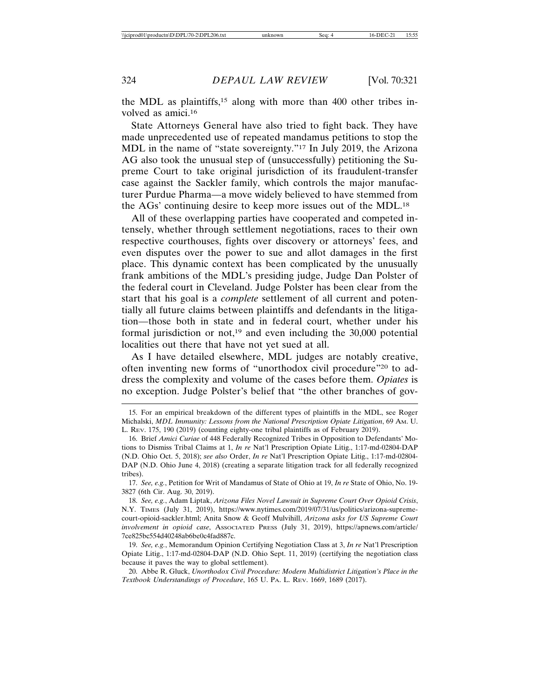the MDL as plaintiffs,15 along with more than 400 other tribes involved as amici.16

State Attorneys General have also tried to fight back. They have made unprecedented use of repeated mandamus petitions to stop the MDL in the name of "state sovereignty."17 In July 2019, the Arizona AG also took the unusual step of (unsuccessfully) petitioning the Supreme Court to take original jurisdiction of its fraudulent-transfer case against the Sackler family, which controls the major manufacturer Purdue Pharma—a move widely believed to have stemmed from the AGs' continuing desire to keep more issues out of the MDL.18

All of these overlapping parties have cooperated and competed intensely, whether through settlement negotiations, races to their own respective courthouses, fights over discovery or attorneys' fees, and even disputes over the power to sue and allot damages in the first place. This dynamic context has been complicated by the unusually frank ambitions of the MDL's presiding judge, Judge Dan Polster of the federal court in Cleveland. Judge Polster has been clear from the start that his goal is a *complete* settlement of all current and potentially all future claims between plaintiffs and defendants in the litigation—those both in state and in federal court, whether under his formal jurisdiction or not,<sup>19</sup> and even including the  $30,000$  potential localities out there that have not yet sued at all.

As I have detailed elsewhere, MDL judges are notably creative, often inventing new forms of "unorthodox civil procedure"20 to address the complexity and volume of the cases before them. *Opiates* is no exception. Judge Polster's belief that "the other branches of gov-

17. *See, e.g.*, Petition for Writ of Mandamus of State of Ohio at 19, *In re* State of Ohio, No. 19- 3827 (6th Cir. Aug. 30, 2019).

19. *See, e.g.*, Memorandum Opinion Certifying Negotiation Class at 3, *In re* Nat'l Prescription Opiate Litig., 1:17-md-02804-DAP (N.D. Ohio Sept. 11, 2019) (certifying the negotiation class because it paves the way to global settlement).

20. Abbe R. Gluck, *Unorthodox Civil Procedure: Modern Multidistrict Litigation's Place in the Textbook Understandings of Procedure*, 165 U. PA. L. REV. 1669, 1689 (2017).

<sup>15.</sup> For an empirical breakdown of the different types of plaintiffs in the MDL, see Roger Michalski, *MDL Immunity: Lessons from the National Prescription Opiate Litigation*, 69 AM. U. L. REV. 175, 190 (2019) (counting eighty-one tribal plaintiffs as of February 2019).

<sup>16.</sup> Brief *Amici Curiae* of 448 Federally Recognized Tribes in Opposition to Defendants' Motions to Dismiss Tribal Claims at 1, *In re* Nat'l Prescription Opiate Litig., 1:17-md-02804-DAP (N.D. Ohio Oct. 5, 2018); *see also* Order, *In re* Nat'l Prescription Opiate Litig., 1:17-md-02804- DAP (N.D. Ohio June 4, 2018) (creating a separate litigation track for all federally recognized tribes).

<sup>18.</sup> *See, e.g.*, Adam Liptak, *Arizona Files Novel Lawsuit in Supreme Court Over Opioid Crisis*, N.Y. TIMES (July 31, 2019), https://www.nytimes.com/2019/07/31/us/politics/arizona-supremecourt-opioid-sackler.html; Anita Snow & Geoff Mulvihill, *Arizona asks for US Supreme Court involvement in opioid case*, ASSOCIATED PRESS (July 31, 2019), https://apnews.com/article/ 7ce825bc554d40248ab6be0c4fad887c.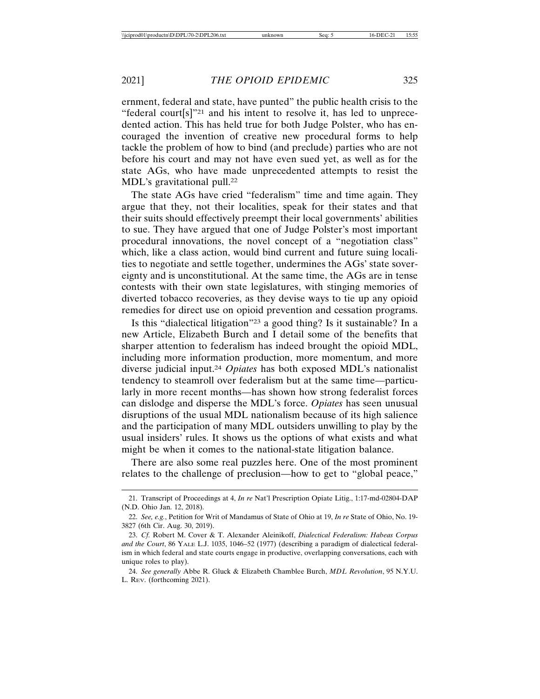ernment, federal and state, have punted" the public health crisis to the "federal court[s]"21 and his intent to resolve it, has led to unprecedented action. This has held true for both Judge Polster, who has encouraged the invention of creative new procedural forms to help tackle the problem of how to bind (and preclude) parties who are not before his court and may not have even sued yet, as well as for the state AGs, who have made unprecedented attempts to resist the MDL's gravitational pull.<sup>22</sup>

The state AGs have cried "federalism" time and time again. They argue that they, not their localities, speak for their states and that their suits should effectively preempt their local governments' abilities to sue. They have argued that one of Judge Polster's most important procedural innovations, the novel concept of a "negotiation class" which, like a class action, would bind current and future suing localities to negotiate and settle together, undermines the AGs' state sovereignty and is unconstitutional. At the same time, the AGs are in tense contests with their own state legislatures, with stinging memories of diverted tobacco recoveries, as they devise ways to tie up any opioid remedies for direct use on opioid prevention and cessation programs.

Is this "dialectical litigation"23 a good thing? Is it sustainable? In a new Article, Elizabeth Burch and I detail some of the benefits that sharper attention to federalism has indeed brought the opioid MDL, including more information production, more momentum, and more diverse judicial input.24 *Opiates* has both exposed MDL's nationalist tendency to steamroll over federalism but at the same time—particularly in more recent months—has shown how strong federalist forces can dislodge and disperse the MDL's force. *Opiates* has seen unusual disruptions of the usual MDL nationalism because of its high salience and the participation of many MDL outsiders unwilling to play by the usual insiders' rules. It shows us the options of what exists and what might be when it comes to the national-state litigation balance.

There are also some real puzzles here. One of the most prominent relates to the challenge of preclusion—how to get to "global peace,"

<sup>21.</sup> Transcript of Proceedings at 4, *In re* Nat'l Prescription Opiate Litig., 1:17-md-02804-DAP (N.D. Ohio Jan. 12, 2018).

<sup>22.</sup> *See, e.g.*, Petition for Writ of Mandamus of State of Ohio at 19, *In re* State of Ohio, No. 19- 3827 (6th Cir. Aug. 30, 2019).

<sup>23.</sup> *Cf.* Robert M. Cover & T. Alexander Aleinikoff, *Dialectical Federalism: Habeas Corpus and the Court*, 86 YALE L.J. 1035, 1046–52 (1977) (describing a paradigm of dialectical federalism in which federal and state courts engage in productive, overlapping conversations, each with unique roles to play).

<sup>24.</sup> *See generally* Abbe R. Gluck & Elizabeth Chamblee Burch, *MDL Revolution*, 95 N.Y.U. L. REV. (forthcoming 2021).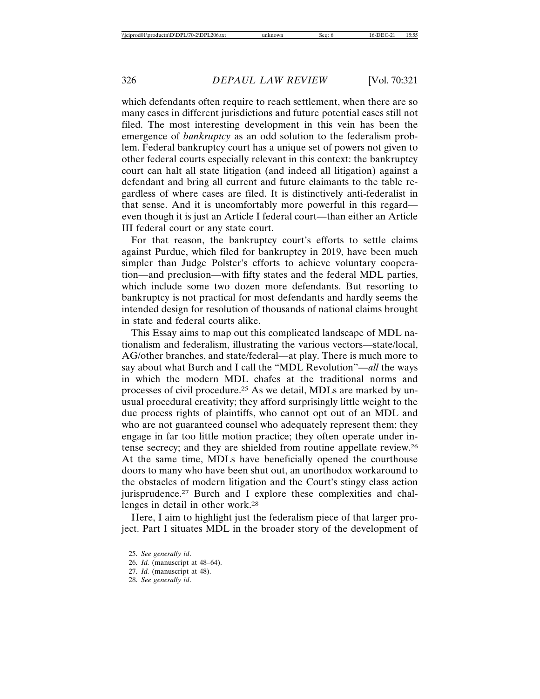which defendants often require to reach settlement, when there are so many cases in different jurisdictions and future potential cases still not filed. The most interesting development in this vein has been the emergence of *bankruptcy* as an odd solution to the federalism problem. Federal bankruptcy court has a unique set of powers not given to other federal courts especially relevant in this context: the bankruptcy court can halt all state litigation (and indeed all litigation) against a defendant and bring all current and future claimants to the table regardless of where cases are filed. It is distinctively anti-federalist in that sense. And it is uncomfortably more powerful in this regard even though it is just an Article I federal court—than either an Article III federal court or any state court.

For that reason, the bankruptcy court's efforts to settle claims against Purdue, which filed for bankruptcy in 2019, have been much simpler than Judge Polster's efforts to achieve voluntary cooperation—and preclusion—with fifty states and the federal MDL parties, which include some two dozen more defendants. But resorting to bankruptcy is not practical for most defendants and hardly seems the intended design for resolution of thousands of national claims brought in state and federal courts alike.

This Essay aims to map out this complicated landscape of MDL nationalism and federalism, illustrating the various vectors—state/local, AG/other branches, and state/federal—at play. There is much more to say about what Burch and I call the "MDL Revolution"—*all* the ways in which the modern MDL chafes at the traditional norms and processes of civil procedure.25 As we detail, MDLs are marked by unusual procedural creativity; they afford surprisingly little weight to the due process rights of plaintiffs, who cannot opt out of an MDL and who are not guaranteed counsel who adequately represent them; they engage in far too little motion practice; they often operate under intense secrecy; and they are shielded from routine appellate review.26 At the same time, MDLs have beneficially opened the courthouse doors to many who have been shut out, an unorthodox workaround to the obstacles of modern litigation and the Court's stingy class action jurisprudence.27 Burch and I explore these complexities and challenges in detail in other work.28

Here, I aim to highlight just the federalism piece of that larger project. Part I situates MDL in the broader story of the development of

<sup>25.</sup> *See generally id*.

<sup>26.</sup> *Id.* (manuscript at 48–64).

<sup>27.</sup> *Id.* (manuscript at 48).

<sup>28.</sup> *See generally id*.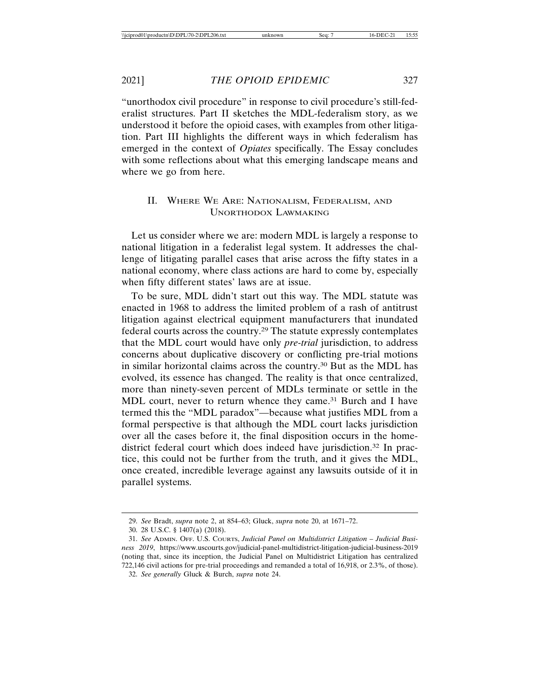"unorthodox civil procedure" in response to civil procedure's still-federalist structures. Part II sketches the MDL-federalism story, as we understood it before the opioid cases, with examples from other litigation. Part III highlights the different ways in which federalism has emerged in the context of *Opiates* specifically. The Essay concludes with some reflections about what this emerging landscape means and where we go from here.

## II. WHERE WE ARE: NATIONALISM, FEDERALISM, AND UNORTHODOX LAWMAKING

Let us consider where we are: modern MDL is largely a response to national litigation in a federalist legal system. It addresses the challenge of litigating parallel cases that arise across the fifty states in a national economy, where class actions are hard to come by, especially when fifty different states' laws are at issue.

To be sure, MDL didn't start out this way. The MDL statute was enacted in 1968 to address the limited problem of a rash of antitrust litigation against electrical equipment manufacturers that inundated federal courts across the country.29 The statute expressly contemplates that the MDL court would have only *pre-trial* jurisdiction, to address concerns about duplicative discovery or conflicting pre-trial motions in similar horizontal claims across the country.30 But as the MDL has evolved, its essence has changed. The reality is that once centralized, more than ninety-seven percent of MDLs terminate or settle in the MDL court, never to return whence they came.<sup>31</sup> Burch and I have termed this the "MDL paradox"—because what justifies MDL from a formal perspective is that although the MDL court lacks jurisdiction over all the cases before it, the final disposition occurs in the homedistrict federal court which does indeed have jurisdiction.<sup>32</sup> In practice, this could not be further from the truth, and it gives the MDL, once created, incredible leverage against any lawsuits outside of it in parallel systems.

<sup>29.</sup> *See* Bradt, *supra* note 2, at 854–63; Gluck, *supra* note 20, at 1671–72.

<sup>30. 28</sup> U.S.C. § 1407(a) (2018).

<sup>31.</sup> *See* ADMIN. OFF. U.S. COURTS, *Judicial Panel on Multidistrict Litigation – Judicial Business 2019*, https://www.uscourts.gov/judicial-panel-multidistrict-litigation-judicial-business-2019 (noting that, since its inception, the Judicial Panel on Multidistrict Litigation has centralized 722,146 civil actions for pre-trial proceedings and remanded a total of 16,918, or 2.3%, of those).

<sup>32.</sup> *See generally* Gluck & Burch, *supra* note 24.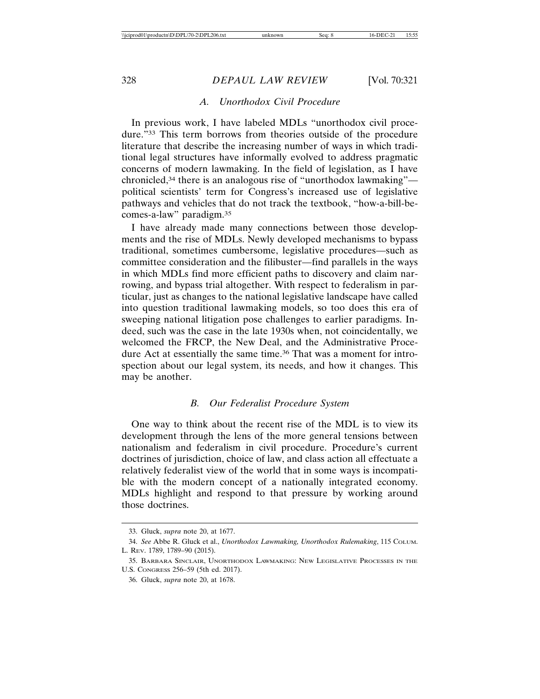### *A. Unorthodox Civil Procedure*

In previous work, I have labeled MDLs "unorthodox civil procedure."33 This term borrows from theories outside of the procedure literature that describe the increasing number of ways in which traditional legal structures have informally evolved to address pragmatic concerns of modern lawmaking. In the field of legislation, as I have chronicled,34 there is an analogous rise of "unorthodox lawmaking" political scientists' term for Congress's increased use of legislative pathways and vehicles that do not track the textbook, "how-a-bill-becomes-a-law" paradigm.35

I have already made many connections between those developments and the rise of MDLs. Newly developed mechanisms to bypass traditional, sometimes cumbersome, legislative procedures—such as committee consideration and the filibuster—find parallels in the ways in which MDLs find more efficient paths to discovery and claim narrowing, and bypass trial altogether. With respect to federalism in particular, just as changes to the national legislative landscape have called into question traditional lawmaking models, so too does this era of sweeping national litigation pose challenges to earlier paradigms. Indeed, such was the case in the late 1930s when, not coincidentally, we welcomed the FRCP, the New Deal, and the Administrative Procedure Act at essentially the same time.<sup>36</sup> That was a moment for introspection about our legal system, its needs, and how it changes. This may be another.

#### *B. Our Federalist Procedure System*

One way to think about the recent rise of the MDL is to view its development through the lens of the more general tensions between nationalism and federalism in civil procedure. Procedure's current doctrines of jurisdiction, choice of law, and class action all effectuate a relatively federalist view of the world that in some ways is incompatible with the modern concept of a nationally integrated economy. MDLs highlight and respond to that pressure by working around those doctrines.

<sup>33.</sup> Gluck, *supra* note 20, at 1677.

<sup>34.</sup> *See* Abbe R. Gluck et al., *Unorthodox Lawmaking, Unorthodox Rulemaking*, 115 COLUM. L. REV. 1789, 1789–90 (2015).

<sup>35.</sup> BARBARA SINCLAIR, UNORTHODOX LAWMAKING: NEW LEGISLATIVE PROCESSES IN THE U.S. CONGRESS 256–59 (5th ed. 2017).

<sup>36.</sup> Gluck, *supra* note 20, at 1678.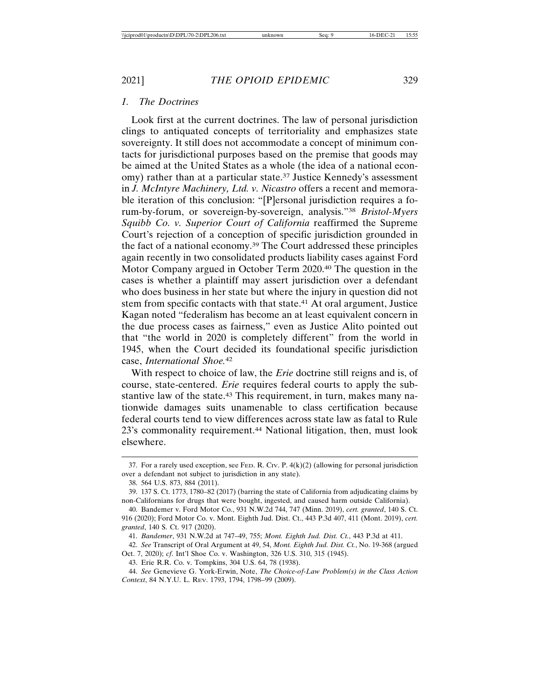## *1. The Doctrines*

Look first at the current doctrines. The law of personal jurisdiction clings to antiquated concepts of territoriality and emphasizes state sovereignty. It still does not accommodate a concept of minimum contacts for jurisdictional purposes based on the premise that goods may be aimed at the United States as a whole (the idea of a national economy) rather than at a particular state.37 Justice Kennedy's assessment in *J. McIntyre Machinery, Ltd. v. Nicastro* offers a recent and memorable iteration of this conclusion: "[P]ersonal jurisdiction requires a forum-by-forum, or sovereign-by-sovereign, analysis."38 *Bristol-Myers Squibb Co. v. Superior Court of California* reaffirmed the Supreme Court's rejection of a conception of specific jurisdiction grounded in the fact of a national economy.39 The Court addressed these principles again recently in two consolidated products liability cases against Ford Motor Company argued in October Term 2020.40 The question in the cases is whether a plaintiff may assert jurisdiction over a defendant who does business in her state but where the injury in question did not stem from specific contacts with that state.<sup>41</sup> At oral argument, Justice Kagan noted "federalism has become an at least equivalent concern in the due process cases as fairness," even as Justice Alito pointed out that "the world in 2020 is completely different" from the world in 1945, when the Court decided its foundational specific jurisdiction case, *International Shoe.*<sup>42</sup>

With respect to choice of law, the *Erie* doctrine still reigns and is, of course, state-centered. *Erie* requires federal courts to apply the substantive law of the state.<sup>43</sup> This requirement, in turn, makes many nationwide damages suits unamenable to class certification because federal courts tend to view differences across state law as fatal to Rule 23's commonality requirement.<sup>44</sup> National litigation, then, must look elsewhere.

43. Erie R.R. Co. v. Tompkins, 304 U.S. 64, 78 (1938).

44. *See* Genevieve G. York-Erwin, Note, *The Choice-of-Law Problem(s) in the Class Action Context*, 84 N.Y.U. L. REV. 1793, 1794, 1798–99 (2009).

<sup>37.</sup> For a rarely used exception, see FED. R. Civ. P.  $4(k)(2)$  (allowing for personal jurisdiction over a defendant not subject to jurisdiction in any state).

<sup>38. 564</sup> U.S. 873, 884 (2011).

<sup>39. 137</sup> S. Ct. 1773, 1780–82 (2017) (barring the state of California from adjudicating claims by non-Californians for drugs that were bought, ingested, and caused harm outside California).

<sup>40.</sup> Bandemer v. Ford Motor Co., 931 N.W.2d 744, 747 (Minn. 2019), *cert. granted*, 140 S. Ct. 916 (2020); Ford Motor Co. v. Mont. Eighth Jud. Dist. Ct., 443 P.3d 407, 411 (Mont. 2019), *cert. granted*, 140 S. Ct. 917 (2020).

<sup>41.</sup> *Bandemer*, 931 N.W.2d at 747–49, 755; *Mont. Eighth Jud. Dist. Ct.*, 443 P.3d at 411.

<sup>42.</sup> *See* Transcript of Oral Argument at 49, 54, *Mont. Eighth Jud. Dist. Ct.*, No. 19-368 (argued Oct. 7, 2020); *cf*. Int'l Shoe Co. v. Washington, 326 U.S. 310, 315 (1945).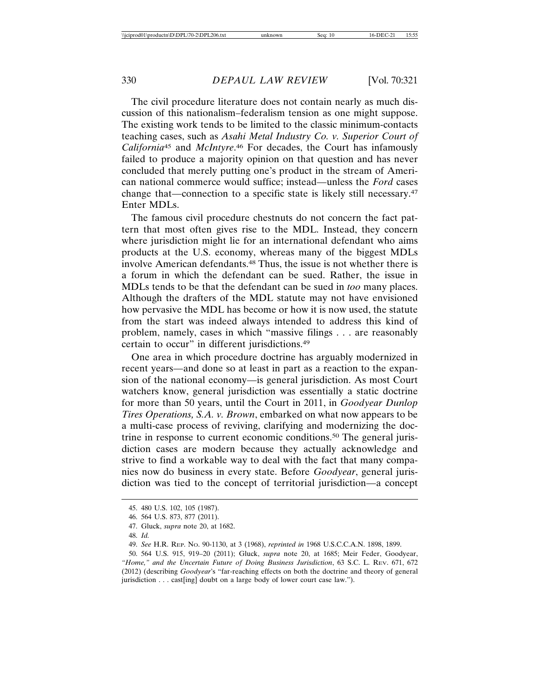The civil procedure literature does not contain nearly as much discussion of this nationalism–federalism tension as one might suppose. The existing work tends to be limited to the classic minimum-contacts teaching cases, such as *Asahi Metal Industry Co. v. Superior Court of California*45 and *McIntyre*. 46 For decades, the Court has infamously failed to produce a majority opinion on that question and has never concluded that merely putting one's product in the stream of American national commerce would suffice; instead—unless the *Ford* cases change that—connection to a specific state is likely still necessary.47 Enter MDLs.

The famous civil procedure chestnuts do not concern the fact pattern that most often gives rise to the MDL. Instead, they concern where jurisdiction might lie for an international defendant who aims products at the U.S. economy, whereas many of the biggest MDLs involve American defendants.<sup>48</sup> Thus, the issue is not whether there is a forum in which the defendant can be sued. Rather, the issue in MDLs tends to be that the defendant can be sued in *too* many places. Although the drafters of the MDL statute may not have envisioned how pervasive the MDL has become or how it is now used, the statute from the start was indeed always intended to address this kind of problem, namely, cases in which "massive filings . . . are reasonably certain to occur" in different jurisdictions.49

One area in which procedure doctrine has arguably modernized in recent years—and done so at least in part as a reaction to the expansion of the national economy—is general jurisdiction. As most Court watchers know, general jurisdiction was essentially a static doctrine for more than 50 years, until the Court in 2011, in *Goodyear Dunlop Tires Operations, S.A. v. Brown*, embarked on what now appears to be a multi-case process of reviving, clarifying and modernizing the doctrine in response to current economic conditions.50 The general jurisdiction cases are modern because they actually acknowledge and strive to find a workable way to deal with the fact that many companies now do business in every state. Before *Goodyear*, general jurisdiction was tied to the concept of territorial jurisdiction—a concept

<sup>45. 480</sup> U.S. 102, 105 (1987).

<sup>46. 564</sup> U.S. 873, 877 (2011).

<sup>47.</sup> Gluck, *supra* note 20, at 1682.

<sup>48.</sup> *Id.*

<sup>49.</sup> *See* H.R. REP. NO. 90-1130, at 3 (1968), *reprinted in* 1968 U.S.C.C.A.N. 1898, 1899.

<sup>50. 564</sup> U.S. 915, 919–20 (2011); Gluck, *supra* note 20, at 1685; Meir Feder, Goodyear, *"Home," and the Uncertain Future of Doing Business Jurisdiction*, 63 S.C. L. REV. 671, 672 (2012) (describing *Goodyear*'s "far-reaching effects on both the doctrine and theory of general jurisdiction . . . cast[ing] doubt on a large body of lower court case law.").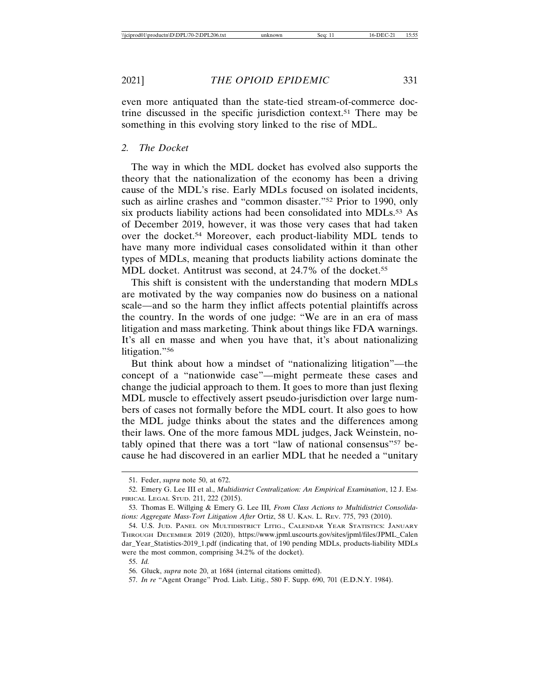even more antiquated than the state-tied stream-of-commerce doctrine discussed in the specific jurisdiction context.51 There may be something in this evolving story linked to the rise of MDL.

## *2. The Docket*

The way in which the MDL docket has evolved also supports the theory that the nationalization of the economy has been a driving cause of the MDL's rise. Early MDLs focused on isolated incidents, such as airline crashes and "common disaster."52 Prior to 1990, only six products liability actions had been consolidated into MDLs.<sup>53</sup> As of December 2019, however, it was those very cases that had taken over the docket.54 Moreover, each product-liability MDL tends to have many more individual cases consolidated within it than other types of MDLs, meaning that products liability actions dominate the MDL docket. Antitrust was second, at 24.7% of the docket.<sup>55</sup>

This shift is consistent with the understanding that modern MDLs are motivated by the way companies now do business on a national scale—and so the harm they inflict affects potential plaintiffs across the country. In the words of one judge: "We are in an era of mass litigation and mass marketing. Think about things like FDA warnings. It's all en masse and when you have that, it's about nationalizing litigation."56

But think about how a mindset of "nationalizing litigation"—the concept of a "nationwide case"—might permeate these cases and change the judicial approach to them. It goes to more than just flexing MDL muscle to effectively assert pseudo-jurisdiction over large numbers of cases not formally before the MDL court. It also goes to how the MDL judge thinks about the states and the differences among their laws. One of the more famous MDL judges, Jack Weinstein, notably opined that there was a tort "law of national consensus"57 because he had discovered in an earlier MDL that he needed a "unitary

<sup>51.</sup> Feder, *supra* note 50, at 672.

<sup>52.</sup> Emery G. Lee III et al., *Multidistrict Centralization: An Empirical Examination*, 12 J. EM-PIRICAL LEGAL STUD. 211, 222 (2015).

<sup>53.</sup> Thomas E. Willging & Emery G. Lee III*, From Class Actions to Multidistrict Consolidations: Aggregate Mass-Tort Litigation After* Ortiz, 58 U. KAN. L. REV. 775, 793 (2010).

<sup>54.</sup> U.S. JUD. PANEL ON MULTIDISTRICT LITIG., CALENDAR YEAR STATISTICS: JANUARY THROUGH DECEMBER 2019 (2020), https://www.jpml.uscourts.gov/sites/jpml/files/JPML\_Calen dar\_Year\_Statistics-2019\_1.pdf (indicating that, of 190 pending MDLs, products-liability MDLs were the most common, comprising 34.2% of the docket).

<sup>55.</sup> *Id.*

<sup>56.</sup> Gluck, *supra* note 20, at 1684 (internal citations omitted).

<sup>57.</sup> *In re* "Agent Orange" Prod. Liab. Litig., 580 F. Supp. 690, 701 (E.D.N.Y. 1984).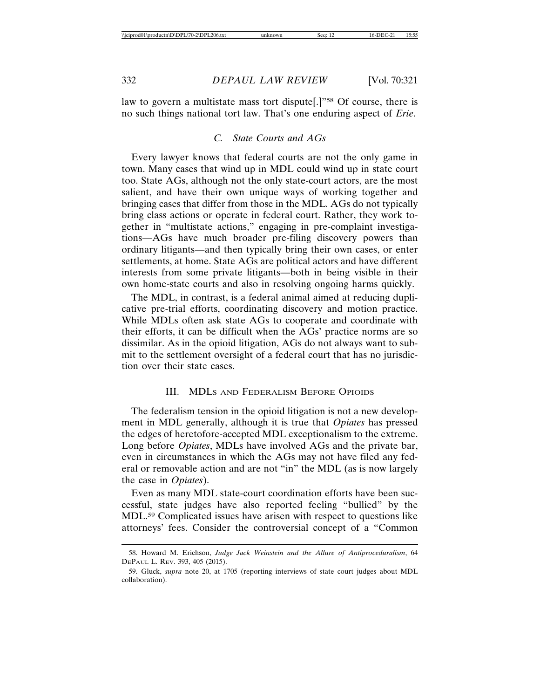law to govern a multistate mass tort dispute[.]"<sup>58</sup> Of course, there is no such things national tort law. That's one enduring aspect of *Erie*.

## *C. State Courts and AGs*

Every lawyer knows that federal courts are not the only game in town. Many cases that wind up in MDL could wind up in state court too. State AGs, although not the only state-court actors, are the most salient, and have their own unique ways of working together and bringing cases that differ from those in the MDL. AGs do not typically bring class actions or operate in federal court. Rather, they work together in "multistate actions," engaging in pre-complaint investigations—AGs have much broader pre-filing discovery powers than ordinary litigants—and then typically bring their own cases, or enter settlements, at home. State AGs are political actors and have different interests from some private litigants—both in being visible in their own home-state courts and also in resolving ongoing harms quickly.

The MDL, in contrast, is a federal animal aimed at reducing duplicative pre-trial efforts, coordinating discovery and motion practice. While MDLs often ask state AGs to cooperate and coordinate with their efforts, it can be difficult when the AGs' practice norms are so dissimilar. As in the opioid litigation, AGs do not always want to submit to the settlement oversight of a federal court that has no jurisdiction over their state cases.

#### III. MDLS AND FEDERALISM BEFORE OPIOIDS

The federalism tension in the opioid litigation is not a new development in MDL generally, although it is true that *Opiates* has pressed the edges of heretofore-accepted MDL exceptionalism to the extreme. Long before *Opiates*, MDLs have involved AGs and the private bar, even in circumstances in which the AGs may not have filed any federal or removable action and are not "in" the MDL (as is now largely the case in *Opiates*).

Even as many MDL state-court coordination efforts have been successful, state judges have also reported feeling "bullied" by the MDL.59 Complicated issues have arisen with respect to questions like attorneys' fees. Consider the controversial concept of a "Common

<sup>58.</sup> Howard M. Erichson, *Judge Jack Weinstein and the Allure of Antiproceduralism*, 64 DEPAUL L. REV. 393, 405 (2015).

<sup>59.</sup> Gluck, *supra* note 20, at 1705 (reporting interviews of state court judges about MDL collaboration).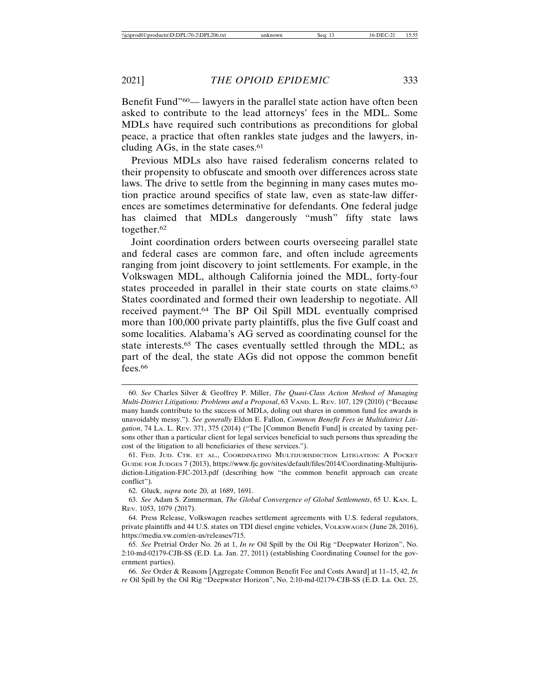Benefit Fund<sup>"60</sup>— lawyers in the parallel state action have often been asked to contribute to the lead attorneys' fees in the MDL. Some MDLs have required such contributions as preconditions for global peace, a practice that often rankles state judges and the lawyers, including AGs, in the state cases. $61$ 

Previous MDLs also have raised federalism concerns related to their propensity to obfuscate and smooth over differences across state laws. The drive to settle from the beginning in many cases mutes motion practice around specifics of state law, even as state-law differences are sometimes determinative for defendants. One federal judge has claimed that MDLs dangerously "mush" fifty state laws together.62

Joint coordination orders between courts overseeing parallel state and federal cases are common fare, and often include agreements ranging from joint discovery to joint settlements. For example, in the Volkswagen MDL, although California joined the MDL, forty-four states proceeded in parallel in their state courts on state claims.<sup>63</sup> States coordinated and formed their own leadership to negotiate. All received payment.64 The BP Oil Spill MDL eventually comprised more than 100,000 private party plaintiffs, plus the five Gulf coast and some localities. Alabama's AG served as coordinating counsel for the state interests.65 The cases eventually settled through the MDL; as part of the deal, the state AGs did not oppose the common benefit fees.<sup>66</sup>

66. *See* Order & Reasons [Aggregate Common Benefit Fee and Costs Award] at 11–15, 42, *In re* Oil Spill by the Oil Rig "Deepwater Horizon", No. 2:10-md-02179-CJB-SS (E.D. La. Oct. 25,

<sup>60.</sup> *See* Charles Silver & Geoffrey P. Miller, *The Quasi-Class Action Method of Managing Multi-District Litigations: Problems and a Proposal*, 63 VAND. L. REV. 107, 129 (2010) ("Because many hands contribute to the success of MDLs, doling out shares in common fund fee awards is unavoidably messy."). *See generally* Eldon E. Fallon, *Common Benefit Fees in Multidistrict Litigation*, 74 LA. L. REV. 371, 375 (2014) ("The [Common Benefit Fund] is created by taxing persons other than a particular client for legal services beneficial to such persons thus spreading the cost of the litigation to all beneficiaries of these services.").

<sup>61.</sup> FED. JUD. CTR. ET AL., COORDINATING MULTIJURISDICTION LITIGATION: A POCKET GUIDE FOR JUDGES 7 (2013), https://www.fjc.gov/sites/default/files/2014/Coordinating-Multijurisdiction-Litigation-FJC-2013.pdf (describing how "the common benefit approach can create conflict").

<sup>62.</sup> Gluck, *supra* note 20, at 1689, 1691.

<sup>63.</sup> *See* Adam S. Zimmerman, *The Global Convergence of Global Settlements*, 65 U. KAN. L. REV. 1053, 1079 (2017).

<sup>64.</sup> Press Release, Volkswagen reaches settlement agreements with U.S. federal regulators, private plaintiffs and 44 U.S. states on TDI diesel engine vehicles, VOLKSWAGEN (June 28, 2016), https://media.vw.com/en-us/releases/715.

<sup>65.</sup> *See* Pretrial Order No. 26 at 1, *In re* Oil Spill by the Oil Rig "Deepwater Horizon", No. 2:10-md-02179-CJB-SS (E.D. La. Jan. 27, 2011) (establishing Coordinating Counsel for the government parties).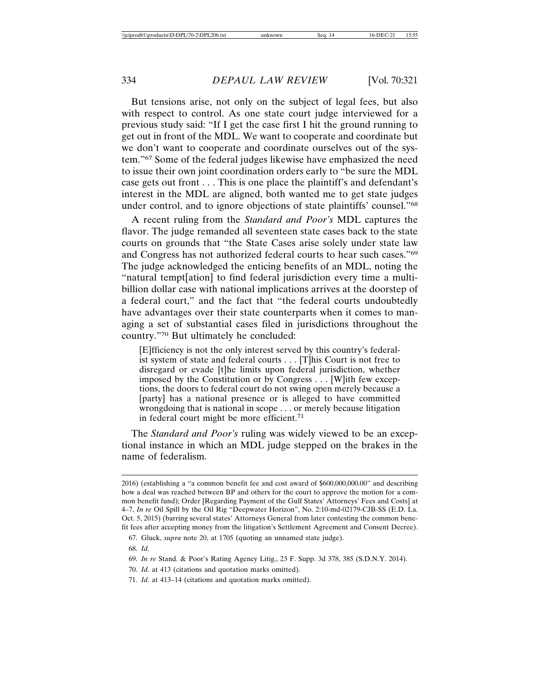But tensions arise, not only on the subject of legal fees, but also with respect to control. As one state court judge interviewed for a previous study said: "If I get the case first I hit the ground running to get out in front of the MDL. We want to cooperate and coordinate but we don't want to cooperate and coordinate ourselves out of the system."67 Some of the federal judges likewise have emphasized the need to issue their own joint coordination orders early to "be sure the MDL case gets out front . . . This is one place the plaintiff's and defendant's interest in the MDL are aligned, both wanted me to get state judges under control, and to ignore objections of state plaintiffs' counsel."68

A recent ruling from the *Standard and Poor's* MDL captures the flavor. The judge remanded all seventeen state cases back to the state courts on grounds that "the State Cases arise solely under state law and Congress has not authorized federal courts to hear such cases."69 The judge acknowledged the enticing benefits of an MDL, noting the "natural tempt[ation] to find federal jurisdiction every time a multibillion dollar case with national implications arrives at the doorstep of a federal court," and the fact that "the federal courts undoubtedly have advantages over their state counterparts when it comes to managing a set of substantial cases filed in jurisdictions throughout the country."70 But ultimately he concluded:

[E]fficiency is not the only interest served by this country's federalist system of state and federal courts . . . [T]his Court is not free to disregard or evade [t]he limits upon federal jurisdiction, whether imposed by the Constitution or by Congress . . . [W]ith few exceptions, the doors to federal court do not swing open merely because a [party] has a national presence or is alleged to have committed wrongdoing that is national in scope . . . or merely because litigation in federal court might be more efficient.<sup>71</sup>

The *Standard and Poor's* ruling was widely viewed to be an exceptional instance in which an MDL judge stepped on the brakes in the name of federalism.

68. *Id.*

- 70. *Id.* at 413 (citations and quotation marks omitted).
- 71. *Id.* at 413–14 (citations and quotation marks omitted).

<sup>2016) (</sup>establishing a "a common benefit fee and cost award of \$600,000,000.00" and describing how a deal was reached between BP and others for the court to approve the motion for a common benefit fund); Order [Regarding Payment of the Gulf States' Attorneys' Fees and Costs] at 4–7, *In re* Oil Spill by the Oil Rig "Deepwater Horizon", No. 2:10-md-02179-CJB-SS (E.D. La. Oct. 5, 2015) (barring several states' Attorneys General from later contesting the common benefit fees after accepting money from the litigation's Settlement Agreement and Consent Decree).

<sup>67.</sup> Gluck, *supra* note 20, at 1705 (quoting an unnamed state judge).

<sup>69.</sup> *In re* Stand. & Poor's Rating Agency Litig., 23 F. Supp. 3d 378, 385 (S.D.N.Y. 2014).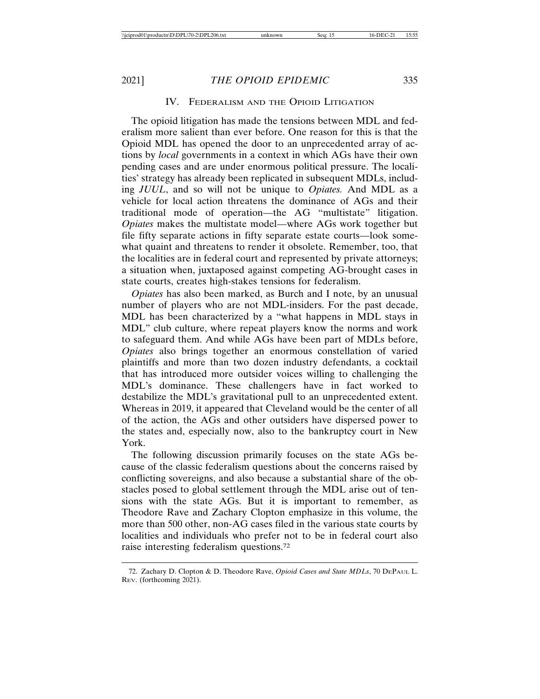#### IV. FEDERALISM AND THE OPIOID LITIGATION

The opioid litigation has made the tensions between MDL and federalism more salient than ever before. One reason for this is that the Opioid MDL has opened the door to an unprecedented array of actions by *local* governments in a context in which AGs have their own pending cases and are under enormous political pressure. The localities' strategy has already been replicated in subsequent MDLs, including *JUUL*, and so will not be unique to *Opiates.* And MDL as a vehicle for local action threatens the dominance of AGs and their traditional mode of operation—the AG "multistate" litigation. *Opiates* makes the multistate model—where AGs work together but file fifty separate actions in fifty separate estate courts—look somewhat quaint and threatens to render it obsolete. Remember, too, that the localities are in federal court and represented by private attorneys; a situation when, juxtaposed against competing AG-brought cases in state courts, creates high-stakes tensions for federalism.

*Opiates* has also been marked, as Burch and I note, by an unusual number of players who are not MDL-insiders. For the past decade, MDL has been characterized by a "what happens in MDL stays in MDL" club culture, where repeat players know the norms and work to safeguard them. And while AGs have been part of MDLs before, *Opiates* also brings together an enormous constellation of varied plaintiffs and more than two dozen industry defendants, a cocktail that has introduced more outsider voices willing to challenging the MDL's dominance. These challengers have in fact worked to destabilize the MDL's gravitational pull to an unprecedented extent. Whereas in 2019, it appeared that Cleveland would be the center of all of the action, the AGs and other outsiders have dispersed power to the states and, especially now, also to the bankruptcy court in New York.

The following discussion primarily focuses on the state AGs because of the classic federalism questions about the concerns raised by conflicting sovereigns, and also because a substantial share of the obstacles posed to global settlement through the MDL arise out of tensions with the state AGs. But it is important to remember, as Theodore Rave and Zachary Clopton emphasize in this volume, the more than 500 other, non-AG cases filed in the various state courts by localities and individuals who prefer not to be in federal court also raise interesting federalism questions.72

<sup>72.</sup> Zachary D. Clopton & D. Theodore Rave, *Opioid Cases and State MDLs*, 70 DEPAUL L. REV. (forthcoming 2021).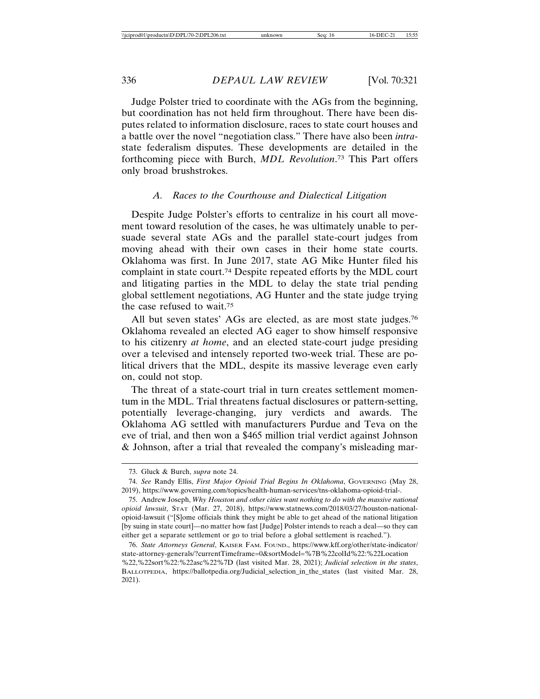Judge Polster tried to coordinate with the AGs from the beginning, but coordination has not held firm throughout. There have been disputes related to information disclosure, races to state court houses and a battle over the novel "negotiation class." There have also been *intra*state federalism disputes. These developments are detailed in the forthcoming piece with Burch, *MDL Revolution*. 73 This Part offers only broad brushstrokes.

#### *A. Races to the Courthouse and Dialectical Litigation*

Despite Judge Polster's efforts to centralize in his court all movement toward resolution of the cases, he was ultimately unable to persuade several state AGs and the parallel state-court judges from moving ahead with their own cases in their home state courts. Oklahoma was first. In June 2017, state AG Mike Hunter filed his complaint in state court.74 Despite repeated efforts by the MDL court and litigating parties in the MDL to delay the state trial pending global settlement negotiations, AG Hunter and the state judge trying the case refused to wait.75

All but seven states' AGs are elected, as are most state judges.<sup>76</sup> Oklahoma revealed an elected AG eager to show himself responsive to his citizenry *at home*, and an elected state-court judge presiding over a televised and intensely reported two-week trial. These are political drivers that the MDL, despite its massive leverage even early on, could not stop.

The threat of a state-court trial in turn creates settlement momentum in the MDL. Trial threatens factual disclosures or pattern-setting, potentially leverage-changing, jury verdicts and awards. The Oklahoma AG settled with manufacturers Purdue and Teva on the eve of trial, and then won a \$465 million trial verdict against Johnson & Johnson, after a trial that revealed the company's misleading mar-

<sup>73.</sup> Gluck & Burch, *supra* note 24.

<sup>74.</sup> *See* Randy Ellis, *First Major Opioid Trial Begins In Oklahoma*, GOVERNING (May 28, 2019), https://www.governing.com/topics/health-human-services/tns-oklahoma-opioid-trial-.

<sup>75.</sup> Andrew Joseph, *Why Houston and other cities want nothing to do with the massive national opioid lawsuit*, STAT (Mar. 27, 2018), https://www.statnews.com/2018/03/27/houston-nationalopioid-lawsuit ("[S]ome officials think they might be able to get ahead of the national litigation [by suing in state court]—no matter how fast [Judge] Polster intends to reach a deal—so they can either get a separate settlement or go to trial before a global settlement is reached.").

<sup>76.</sup> *State Attorneys General*, KAISER FAM. FOUND., https://www.kff.org/other/state-indicator/ state-attorney-generals/?currentTimeframe=0&sortModel=%7B%22colId%22:%22Location %22,%22sort%22:%22asc%22%7D (last visited Mar. 28, 2021); *Judicial selection in the states*, BALLOTPEDIA, https://ballotpedia.org/Judicial\_selection\_in\_the\_states (last visited Mar. 28, 2021).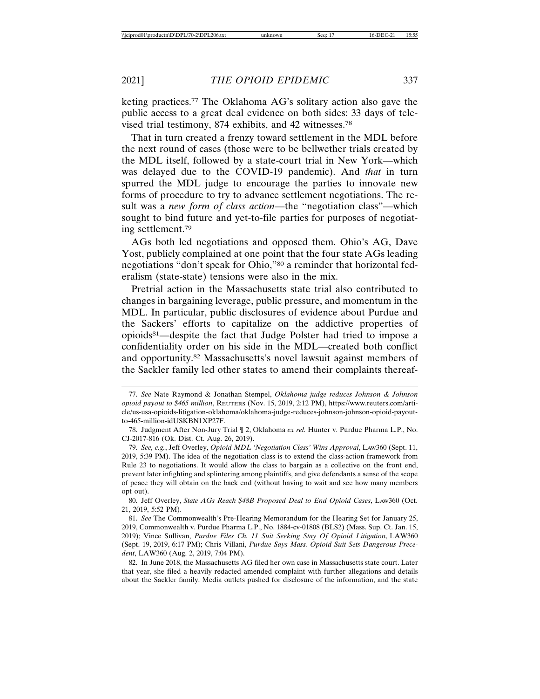keting practices.77 The Oklahoma AG's solitary action also gave the public access to a great deal evidence on both sides: 33 days of televised trial testimony, 874 exhibits, and 42 witnesses.78

That in turn created a frenzy toward settlement in the MDL before the next round of cases (those were to be bellwether trials created by the MDL itself, followed by a state-court trial in New York—which was delayed due to the COVID-19 pandemic). And *that* in turn spurred the MDL judge to encourage the parties to innovate new forms of procedure to try to advance settlement negotiations. The result was a *new form of class action*—the "negotiation class"—which sought to bind future and yet-to-file parties for purposes of negotiating settlement.79

AGs both led negotiations and opposed them. Ohio's AG, Dave Yost, publicly complained at one point that the four state AGs leading negotiations "don't speak for Ohio,"80 a reminder that horizontal federalism (state-state) tensions were also in the mix.

Pretrial action in the Massachusetts state trial also contributed to changes in bargaining leverage, public pressure, and momentum in the MDL. In particular, public disclosures of evidence about Purdue and the Sackers' efforts to capitalize on the addictive properties of opioids81—despite the fact that Judge Polster had tried to impose a confidentiality order on his side in the MDL—created both conflict and opportunity.82 Massachusetts's novel lawsuit against members of the Sackler family led other states to amend their complaints thereaf-

80. Jeff Overley, *State AGs Reach \$48B Proposed Deal to End Opioid Cases*, LAW360 (Oct. 21, 2019, 5:52 PM).

81. *See* The Commonwealth's Pre-Hearing Memorandum for the Hearing Set for January 25, 2019, Commonwealth v. Purdue Pharma L.P., No. 1884-cv-01808 (BLS2) (Mass. Sup. Ct. Jan. 15, 2019); Vince Sullivan, *Purdue Files Ch. 11 Suit Seeking Stay Of Opioid Litigation*, LAW360 (Sept. 19, 2019, 6:17 PM); Chris Villani, *Purdue Says Mass. Opioid Suit Sets Dangerous Precedent*, LAW360 (Aug. 2, 2019, 7:04 PM).

82. In June 2018, the Massachusetts AG filed her own case in Massachusetts state court. Later that year, she filed a heavily redacted amended complaint with further allegations and details about the Sackler family. Media outlets pushed for disclosure of the information, and the state

<sup>77.</sup> *See* Nate Raymond & Jonathan Stempel, *Oklahoma judge reduces Johnson & Johnson opioid payout to \$465 million*, REUTERS (Nov. 15, 2019, 2:12 PM), https://www.reuters.com/article/us-usa-opioids-litigation-oklahoma/oklahoma-judge-reduces-johnson-johnson-opioid-payoutto-465-million-idUSKBN1XP27F.

<sup>78.</sup> Judgment After Non-Jury Trial ¶ 2, Oklahoma *ex rel.* Hunter v. Purdue Pharma L.P., No. CJ-2017-816 (Ok. Dist. Ct. Aug. 26, 2019).

<sup>79.</sup> *See, e.g.*, Jeff Overley, *Opioid MDL 'Negotiation Class' Wins Approval*, LAW360 (Sept. 11, 2019, 5:39 PM). The idea of the negotiation class is to extend the class-action framework from Rule 23 to negotiations. It would allow the class to bargain as a collective on the front end, prevent later infighting and splintering among plaintiffs, and give defendants a sense of the scope of peace they will obtain on the back end (without having to wait and see how many members opt out).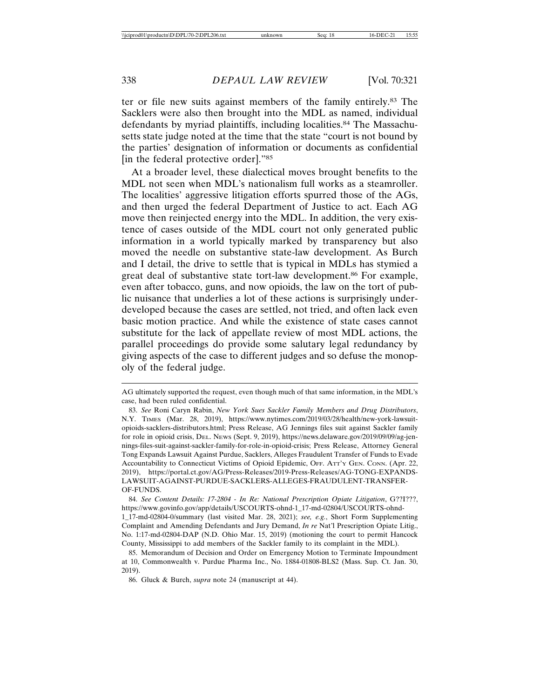ter or file new suits against members of the family entirely.83 The Sacklers were also then brought into the MDL as named, individual defendants by myriad plaintiffs, including localities.<sup>84</sup> The Massachusetts state judge noted at the time that the state "court is not bound by the parties' designation of information or documents as confidential [in the federal protective order]."85

At a broader level, these dialectical moves brought benefits to the MDL not seen when MDL's nationalism full works as a steamroller. The localities' aggressive litigation efforts spurred those of the AGs, and then urged the federal Department of Justice to act. Each AG move then reinjected energy into the MDL. In addition, the very existence of cases outside of the MDL court not only generated public information in a world typically marked by transparency but also moved the needle on substantive state-law development. As Burch and I detail, the drive to settle that is typical in MDLs has stymied a great deal of substantive state tort-law development.<sup>86</sup> For example, even after tobacco, guns, and now opioids, the law on the tort of public nuisance that underlies a lot of these actions is surprisingly underdeveloped because the cases are settled, not tried, and often lack even basic motion practice. And while the existence of state cases cannot substitute for the lack of appellate review of most MDL actions, the parallel proceedings do provide some salutary legal redundancy by giving aspects of the case to different judges and so defuse the monopoly of the federal judge.

AG ultimately supported the request, even though much of that same information, in the MDL's case, had been ruled confidential.

<sup>83.</sup> *See* Roni Caryn Rabin, *New York Sues Sackler Family Members and Drug Distributors*, N.Y. TIMES (Mar. 28, 2019), https://www.nytimes.com/2019/03/28/health/new-york-lawsuitopioids-sacklers-distributors.html; Press Release, AG Jennings files suit against Sackler family for role in opioid crisis, DEL. NEWS (Sept. 9, 2019), https://news.delaware.gov/2019/09/09/ag-jennings-files-suit-against-sackler-family-for-role-in-opioid-crisis; Press Release, Attorney General Tong Expands Lawsuit Against Purdue, Sacklers, Alleges Fraudulent Transfer of Funds to Evade Accountability to Connecticut Victims of Opioid Epidemic, OFF. ATT'Y GEN. CONN. (Apr. 22, 2019), https://portal.ct.gov/AG/Press-Releases/2019-Press-Releases/AG-TONG-EXPANDS-LAWSUIT-AGAINST-PURDUE-SACKLERS-ALLEGES-FRAUDULENT-TRANSFER-OF-FUNDS.

<sup>84.</sup> *See Content Details: 17-2804 - In Re: National Prescription Opiate Litigation*, G??I???, https://www.govinfo.gov/app/details/USCOURTS-ohnd-1\_17-md-02804/USCOURTS-ohnd-1\_17-md-02804-0/summary (last visited Mar. 28, 2021); *see, e.g.*, Short Form Supplementing Complaint and Amending Defendants and Jury Demand, *In re* Nat'l Prescription Opiate Litig., No. 1:17-md-02804-DAP (N.D. Ohio Mar. 15, 2019) (motioning the court to permit Hancock County, Mississippi to add members of the Sackler family to its complaint in the MDL).

<sup>85.</sup> Memorandum of Decision and Order on Emergency Motion to Terminate Impoundment at 10, Commonwealth v. Purdue Pharma Inc., No. 1884-01808-BLS2 (Mass. Sup. Ct. Jan. 30, 2019).

<sup>86.</sup> Gluck & Burch, *supra* note 24 (manuscript at 44).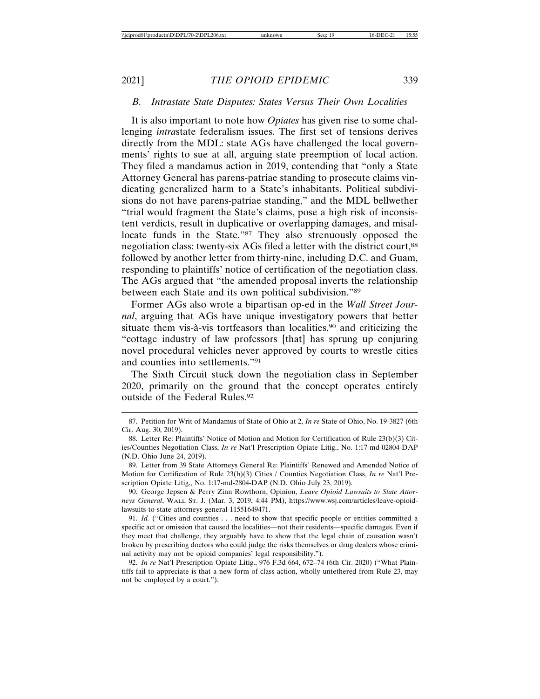#### *B. Intrastate State Disputes: States Versus Their Own Localities*

It is also important to note how *Opiates* has given rise to some challenging *intra*state federalism issues. The first set of tensions derives directly from the MDL: state AGs have challenged the local governments' rights to sue at all, arguing state preemption of local action. They filed a mandamus action in 2019, contending that "only a State Attorney General has parens-patriae standing to prosecute claims vindicating generalized harm to a State's inhabitants. Political subdivisions do not have parens-patriae standing," and the MDL bellwether "trial would fragment the State's claims, pose a high risk of inconsistent verdicts, result in duplicative or overlapping damages, and misallocate funds in the State."87 They also strenuously opposed the negotiation class: twenty-six AGs filed a letter with the district court,88 followed by another letter from thirty-nine, including D.C. and Guam, responding to plaintiffs' notice of certification of the negotiation class. The AGs argued that "the amended proposal inverts the relationship between each State and its own political subdivision."89

Former AGs also wrote a bipartisan op-ed in the *Wall Street Journal*, arguing that AGs have unique investigatory powers that better situate them vis- $\hat{a}$ -vis tortfeasors than localities,<sup>90</sup> and criticizing the "cottage industry of law professors [that] has sprung up conjuring novel procedural vehicles never approved by courts to wrestle cities and counties into settlements."91

The Sixth Circuit stuck down the negotiation class in September 2020, primarily on the ground that the concept operates entirely outside of the Federal Rules.<sup>92</sup>

<sup>87.</sup> Petition for Writ of Mandamus of State of Ohio at 2, *In re* State of Ohio, No. 19-3827 (6th Cir. Aug. 30, 2019).

<sup>88.</sup> Letter Re: Plaintiffs' Notice of Motion and Motion for Certification of Rule 23(b)(3) Cities/Counties Negotiation Class, *In re* Nat'l Prescription Opiate Litig., No. 1:17-md-02804-DAP (N.D. Ohio June 24, 2019).

<sup>89.</sup> Letter from 39 State Attorneys General Re: Plaintiffs' Renewed and Amended Notice of Motion for Certification of Rule 23(b)(3) Cities / Counties Negotiation Class, *In re* Nat'l Prescription Opiate Litig., No. 1:17-md-2804-DAP (N.D. Ohio July 23, 2019).

<sup>90.</sup> George Jepsen & Perry Zinn Rowthorn, Opinion, *Leave Opioid Lawsuits to State Attorneys General*, WALL ST. J. (Mar. 3, 2019, 4:44 PM), https://www.wsj.com/articles/leave-opioidlawsuits-to-state-attorneys-general-11551649471.

<sup>91.</sup> *Id.* ("Cities and counties . . . need to show that specific people or entities committed a specific act or omission that caused the localities—not their residents—specific damages. Even if they meet that challenge, they arguably have to show that the legal chain of causation wasn't broken by prescribing doctors who could judge the risks themselves or drug dealers whose criminal activity may not be opioid companies' legal responsibility.").

<sup>92.</sup> *In re* Nat'l Prescription Opiate Litig., 976 F.3d 664, 672–74 (6th Cir. 2020) ("What Plaintiffs fail to appreciate is that a new form of class action, wholly untethered from Rule 23, may not be employed by a court.").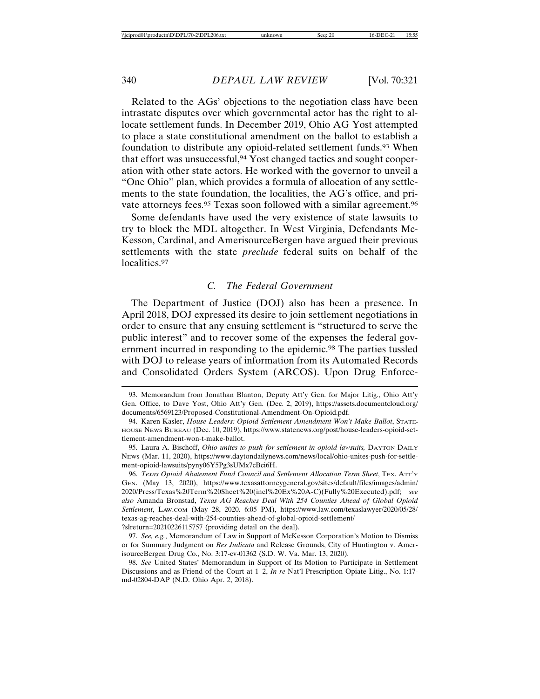Related to the AGs' objections to the negotiation class have been intrastate disputes over which governmental actor has the right to allocate settlement funds. In December 2019, Ohio AG Yost attempted to place a state constitutional amendment on the ballot to establish a foundation to distribute any opioid-related settlement funds.<sup>93</sup> When that effort was unsuccessful,<sup>94</sup> Yost changed tactics and sought cooperation with other state actors. He worked with the governor to unveil a "One Ohio" plan, which provides a formula of allocation of any settlements to the state foundation, the localities, the AG's office, and private attorneys fees.<sup>95</sup> Texas soon followed with a similar agreement.<sup>96</sup>

Some defendants have used the very existence of state lawsuits to try to block the MDL altogether. In West Virginia, Defendants Mc-Kesson, Cardinal, and AmerisourceBergen have argued their previous settlements with the state *preclude* federal suits on behalf of the localities.<sup>97</sup>

#### *C. The Federal Government*

The Department of Justice (DOJ) also has been a presence. In April 2018, DOJ expressed its desire to join settlement negotiations in order to ensure that any ensuing settlement is "structured to serve the public interest" and to recover some of the expenses the federal government incurred in responding to the epidemic.98 The parties tussled with DOJ to release years of information from its Automated Records and Consolidated Orders System (ARCOS). Upon Drug Enforce-

?slreturn=20210226115757 (providing detail on the deal).

<sup>93.</sup> Memorandum from Jonathan Blanton, Deputy Att'y Gen. for Major Litig., Ohio Att'y Gen. Office, to Dave Yost, Ohio Att'y Gen. (Dec. 2, 2019), https://assets.documentcloud.org/ documents/6569123/Proposed-Constitutional-Amendment-On-Opioid.pdf.

<sup>94.</sup> Karen Kasler, *House Leaders: Opioid Settlement Amendment Won't Make Ballot*, STATE-HOUSE NEWS BUREAU (Dec. 10, 2019), https://www.statenews.org/post/house-leaders-opioid-settlement-amendment-won-t-make-ballot.

<sup>95.</sup> Laura A. Bischoff, *Ohio unites to push for settlement in opioid lawsuits*, DAYTON DAILY NEWS (Mar. 11, 2020), https://www.daytondailynews.com/news/local/ohio-unites-push-for-settlement-opioid-lawsuits/pyny06Y5Pg3sUMx7cBci6H.

<sup>96.</sup> *Texas Opioid Abatement Fund Council and Settlement Allocation Term Sheet*, TEX. ATT'Y GEN. (May 13, 2020), https://www.texasattorneygeneral.gov/sites/default/files/images/admin/ 2020/Press/Texas%20Term%20Sheet%20(incl%20Ex%20A-C)(Fully%20Executed).pdf; *see also* Amanda Bronstad, *Texas AG Reaches Deal With 254 Counties Ahead of Global Opioid Settlement*, LAW.COM (May 28, 2020. 6:05 PM), https://www.law.com/texaslawyer/2020/05/28/ texas-ag-reaches-deal-with-254-counties-ahead-of-global-opioid-settlement/

<sup>97.</sup> *See, e.g.*, Memorandum of Law in Support of McKesson Corporation's Motion to Dismiss or for Summary Judgment on *Res Judicata* and Release Grounds, City of Huntington v. AmerisourceBergen Drug Co., No. 3:17-cv-01362 (S.D. W. Va. Mar. 13, 2020).

<sup>98.</sup> *See* United States' Memorandum in Support of Its Motion to Participate in Settlement Discussions and as Friend of the Court at 1–2, *In re* Nat'l Prescription Opiate Litig., No. 1:17 md-02804-DAP (N.D. Ohio Apr. 2, 2018).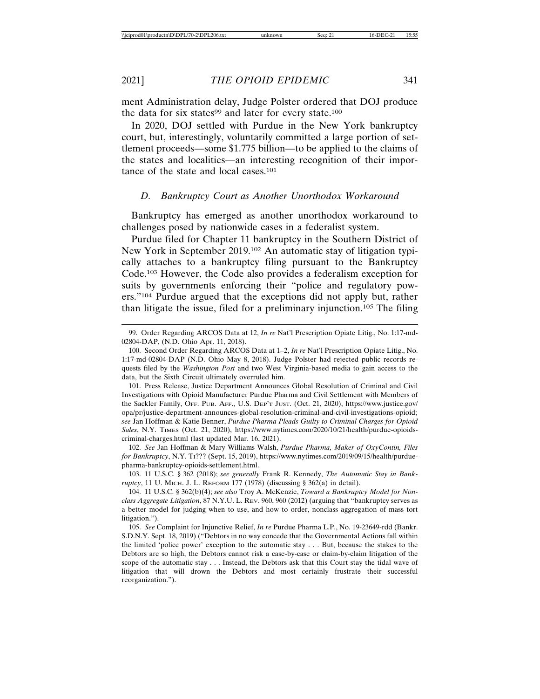ment Administration delay, Judge Polster ordered that DOJ produce the data for six states $99$  and later for every state.<sup>100</sup>

In 2020, DOJ settled with Purdue in the New York bankruptcy court, but, interestingly, voluntarily committed a large portion of settlement proceeds—some \$1.775 billion—to be applied to the claims of the states and localities—an interesting recognition of their importance of the state and local cases.101

#### *D. Bankruptcy Court as Another Unorthodox Workaround*

Bankruptcy has emerged as another unorthodox workaround to challenges posed by nationwide cases in a federalist system.

Purdue filed for Chapter 11 bankruptcy in the Southern District of New York in September 2019.102 An automatic stay of litigation typically attaches to a bankruptcy filing pursuant to the Bankruptcy Code.103 However, the Code also provides a federalism exception for suits by governments enforcing their "police and regulatory powers."104 Purdue argued that the exceptions did not apply but, rather than litigate the issue, filed for a preliminary injunction.105 The filing

101. Press Release, Justice Department Announces Global Resolution of Criminal and Civil Investigations with Opioid Manufacturer Purdue Pharma and Civil Settlement with Members of the Sackler Family, OFF. PUB. AFF., U.S. DEP'T JUST. (Oct. 21, 2020), https://www.justice.gov/ opa/pr/justice-department-announces-global-resolution-criminal-and-civil-investigations-opioid; *see* Jan Hoffman & Katie Benner, *Purdue Pharma Pleads Guilty to Criminal Charges for Opioid Sales*, N.Y. TIMES (Oct. 21, 2020), https://www.nytimes.com/2020/10/21/health/purdue-opioidscriminal-charges.html (last updated Mar. 16, 2021).

102. *See* Jan Hoffman & Mary Williams Walsh, *Purdue Pharma, Maker of OxyContin, Files for Bankruptcy*, N.Y. TI??? (Sept. 15, 2019), https://www.nytimes.com/2019/09/15/health/purduepharma-bankruptcy-opioids-settlement.html.

103. 11 U.S.C. § 362 (2018); *see generally* Frank R. Kennedy, *The Automatic Stay in Bankruptcy*, 11 U. MICH. J. L. REFORM 177 (1978) (discussing § 362(a) in detail).

104. 11 U.S.C. § 362(b)(4); *see also* Troy A. McKenzie, *Toward a Bankruptcy Model for Nonclass Aggregate Litigation*, 87 N.Y.U. L. REV. 960, 960 (2012) (arguing that "bankruptcy serves as a better model for judging when to use, and how to order, nonclass aggregation of mass tort litigation.").

105. *See* Complaint for Injunctive Relief, *In re* Purdue Pharma L.P., No. 19-23649-rdd (Bankr. S.D.N.Y. Sept. 18, 2019) ("Debtors in no way concede that the Governmental Actions fall within the limited 'police power' exception to the automatic stay . . . But, because the stakes to the Debtors are so high, the Debtors cannot risk a case-by-case or claim-by-claim litigation of the scope of the automatic stay . . . Instead, the Debtors ask that this Court stay the tidal wave of litigation that will drown the Debtors and most certainly frustrate their successful reorganization.").

<sup>99.</sup> Order Regarding ARCOS Data at 12, *In re* Nat'l Prescription Opiate Litig., No. 1:17-md-02804-DAP, (N.D. Ohio Apr. 11, 2018).

<sup>100.</sup> Second Order Regarding ARCOS Data at 1–2, *In re* Nat'l Prescription Opiate Litig., No. 1:17-md-02804-DAP (N.D. Ohio May 8, 2018). Judge Polster had rejected public records requests filed by the *Washington Post* and two West Virginia-based media to gain access to the data, but the Sixth Circuit ultimately overruled him.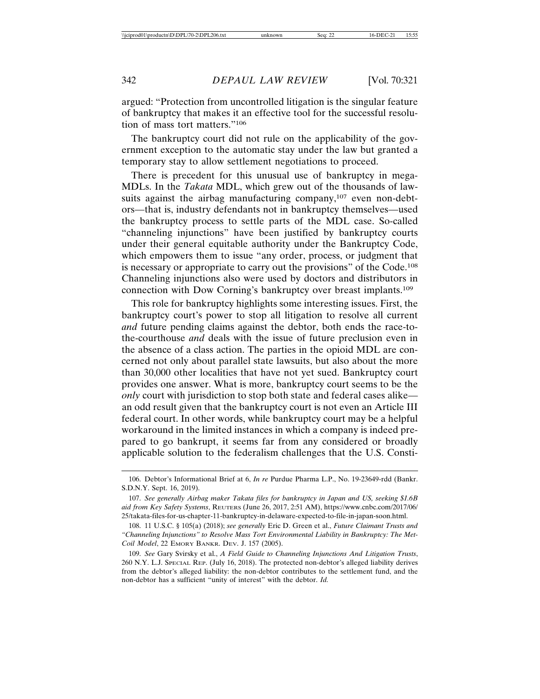argued: "Protection from uncontrolled litigation is the singular feature of bankruptcy that makes it an effective tool for the successful resolution of mass tort matters."106

The bankruptcy court did not rule on the applicability of the government exception to the automatic stay under the law but granted a temporary stay to allow settlement negotiations to proceed.

There is precedent for this unusual use of bankruptcy in mega-MDLs. In the *Takata* MDL, which grew out of the thousands of lawsuits against the airbag manufacturing company,<sup>107</sup> even non-debtors—that is, industry defendants not in bankruptcy themselves—used the bankruptcy process to settle parts of the MDL case. So-called "channeling injunctions" have been justified by bankruptcy courts under their general equitable authority under the Bankruptcy Code, which empowers them to issue "any order, process, or judgment that is necessary or appropriate to carry out the provisions" of the Code.108 Channeling injunctions also were used by doctors and distributors in connection with Dow Corning's bankruptcy over breast implants.109

This role for bankruptcy highlights some interesting issues. First, the bankruptcy court's power to stop all litigation to resolve all current *and* future pending claims against the debtor, both ends the race-tothe-courthouse *and* deals with the issue of future preclusion even in the absence of a class action. The parties in the opioid MDL are concerned not only about parallel state lawsuits, but also about the more than 30,000 other localities that have not yet sued. Bankruptcy court provides one answer. What is more, bankruptcy court seems to be the *only* court with jurisdiction to stop both state and federal cases alike an odd result given that the bankruptcy court is not even an Article III federal court. In other words, while bankruptcy court may be a helpful workaround in the limited instances in which a company is indeed prepared to go bankrupt, it seems far from any considered or broadly applicable solution to the federalism challenges that the U.S. Consti-

<sup>106.</sup> Debtor's Informational Brief at 6, *In re* Purdue Pharma L.P., No. 19-23649-rdd (Bankr. S.D.N.Y. Sept. 16, 2019).

<sup>107.</sup> *See generally Airbag maker Takata files for bankruptcy in Japan and US, seeking \$1.6B aid from Key Safety Systems*, REUTERS (June 26, 2017, 2:51 AM), https://www.cnbc.com/2017/06/ 25/takata-files-for-us-chapter-11-bankruptcy-in-delaware-expected-to-file-in-japan-soon.html.

<sup>108. 11</sup> U.S.C. § 105(a) (2018); *see generally* Eric D. Green et al., *Future Claimant Trusts and "Channeling Injunctions" to Resolve Mass Tort Environmental Liability in Bankruptcy: The Met-Coil Model*, 22 EMORY BANKR. DEV. J. 157 (2005).

<sup>109.</sup> *See* Gary Svirsky et al., *A Field Guide to Channeling Injunctions And Litigation Trusts*, 260 N.Y. L.J. SPECIAL REP. (July 16, 2018). The protected non-debtor's alleged liability derives from the debtor's alleged liability: the non-debtor contributes to the settlement fund, and the non-debtor has a sufficient "unity of interest" with the debtor. *Id.*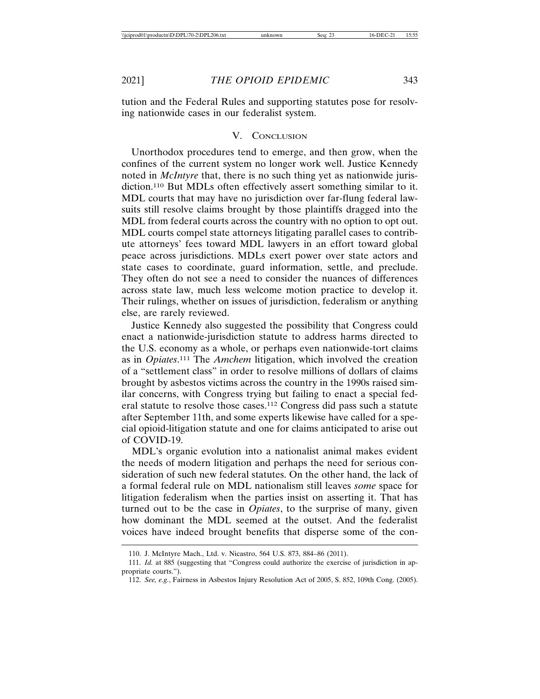tution and the Federal Rules and supporting statutes pose for resolving nationwide cases in our federalist system.

## V. CONCLUSION

Unorthodox procedures tend to emerge, and then grow, when the confines of the current system no longer work well. Justice Kennedy noted in *McIntyre* that, there is no such thing yet as nationwide jurisdiction.110 But MDLs often effectively assert something similar to it. MDL courts that may have no jurisdiction over far-flung federal lawsuits still resolve claims brought by those plaintiffs dragged into the MDL from federal courts across the country with no option to opt out. MDL courts compel state attorneys litigating parallel cases to contribute attorneys' fees toward MDL lawyers in an effort toward global peace across jurisdictions. MDLs exert power over state actors and state cases to coordinate, guard information, settle, and preclude. They often do not see a need to consider the nuances of differences across state law, much less welcome motion practice to develop it. Their rulings, whether on issues of jurisdiction, federalism or anything else, are rarely reviewed.

Justice Kennedy also suggested the possibility that Congress could enact a nationwide-jurisdiction statute to address harms directed to the U.S. economy as a whole, or perhaps even nationwide-tort claims as in *Opiates*. 111 The *Amchem* litigation, which involved the creation of a "settlement class" in order to resolve millions of dollars of claims brought by asbestos victims across the country in the 1990s raised similar concerns, with Congress trying but failing to enact a special federal statute to resolve those cases.112 Congress did pass such a statute after September 11th, and some experts likewise have called for a special opioid-litigation statute and one for claims anticipated to arise out of COVID-19.

 MDL's organic evolution into a nationalist animal makes evident the needs of modern litigation and perhaps the need for serious consideration of such new federal statutes. On the other hand, the lack of a formal federal rule on MDL nationalism still leaves *some* space for litigation federalism when the parties insist on asserting it. That has turned out to be the case in *Opiates*, to the surprise of many, given how dominant the MDL seemed at the outset. And the federalist voices have indeed brought benefits that disperse some of the con-

<sup>110.</sup> J. McIntyre Mach., Ltd. v. Nicastro, 564 U.S. 873, 884–86 (2011).

<sup>111.</sup> *Id.* at 885 (suggesting that "Congress could authorize the exercise of jurisdiction in appropriate courts.").

<sup>112.</sup> *See, e.g.*, Fairness in Asbestos Injury Resolution Act of 2005, S. 852, 109th Cong. (2005).